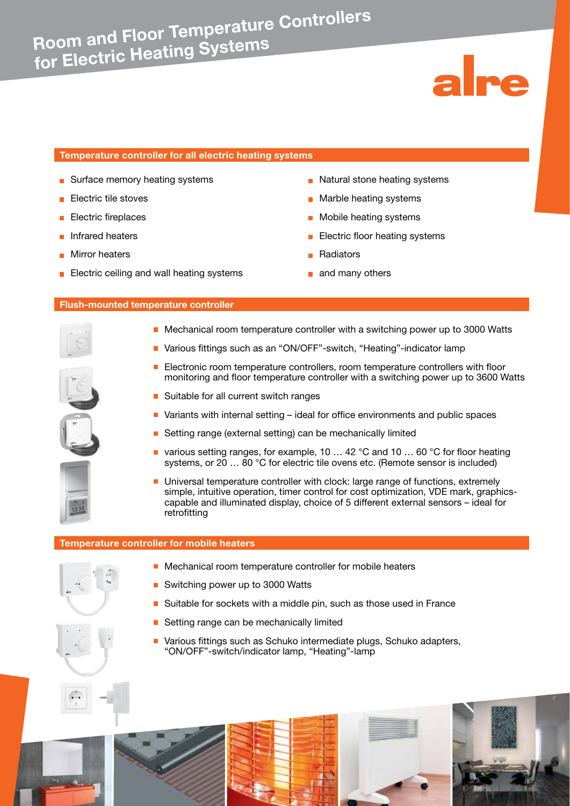# **Room and Floor Temperature Controllers for Electric Heating Systems**



## **Temperature controller for all electric heating systems**

- Surface memory heating systems
- $\blacksquare$  Electric tile stoves
- **Electric fireplaces**
- **n** Infrared heaters
- **Mirror heaters**
- Electric ceiling and wall heating systems
- Natural stone heating systems
- **Marble heating systems**
- **Mobile heating systems**
- **Electric floor heating systems**
- **Radiators**
- and many others

## **Flush-mounted temperature controller**



- Mechanical room temperature controller with a switching power up to 3000 Watts
- Various fittings such as an "ON/OFF"-switch, "Heating"-indicator lamp
- **Electronic room temperature controllers, room temperature controllers with floor** monitoring and floor temperature controller with a switching power up to 3600 Watts
- Suitable for all current switch ranges
- **D** Variants with internal setting ideal for office environments and public spaces
- Setting range (external setting) can be mechanically limited
- various setting ranges, for example, 10  $\dots$  42 °C and 10  $\dots$  60 °C for floor heating systems, or 20 ... 80 °C for electric tile ovens etc. (Remote sensor is included)
- Universal temperature controller with clock: large range of functions, extremely simple, intuitive operation, timer control for cost optimization, VDE mark, graphicscapable and illuminated display, choice of 5 different external sensors – ideal for retrofitting

#### **Temperature controller for mobile heaters**



- Mechanical room temperature controller for mobile heaters
- Switching power up to 3000 Watts
- Suitable for sockets with a middle pin, such as those used in France
- Setting range can be mechanically limited
- various fittings such as Schuko intermediate plugs, Schuko adapters, "ON/OFF"-switch/indicator lamp, "Heating"-lamp